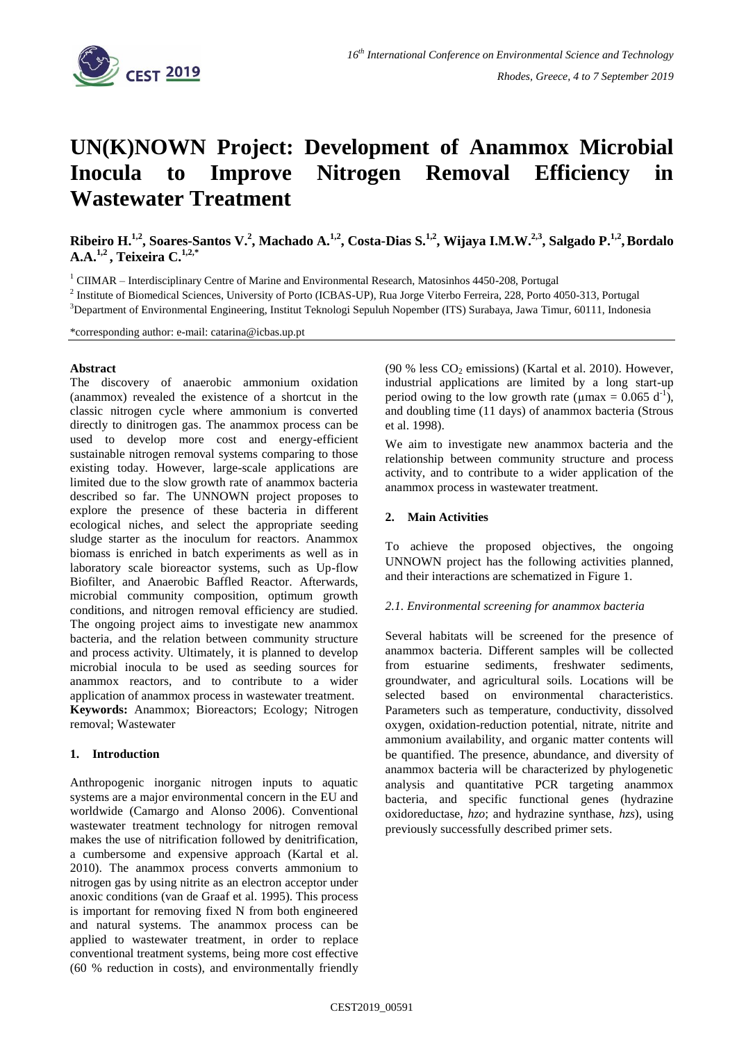

# **UN(K)NOWN Project: Development of Anammox Microbial Inocula to Improve Nitrogen Removal Efficiency in Wastewater Treatment**

Ribeiro H.<sup>1,2</sup>, Soares-Santos V.<sup>2</sup>, Machado A.<sup>1,2</sup>, Costa-Dias S.<sup>1,2</sup>, Wijaya I.M.W.<sup>2,3</sup>, Salgado P.<sup>1,2</sup>, Bordalo **A.A.1,2 , Teixeira C.1,2,\***

<sup>1</sup> CIIMAR – Interdisciplinary Centre of Marine and Environmental Research, Matosinhos 4450-208, Portugal

<sup>2</sup> Institute of Biomedical Sciences, University of Porto (ICBAS-UP), Rua Jorge Viterbo Ferreira, 228, Porto 4050-313, Portugal

<sup>3</sup>Department of Environmental Engineering, Institut Teknologi Sepuluh Nopember (ITS) Surabaya, Jawa Timur, 60111, Indonesia

\*corresponding author: e-mail: catarina@icbas.up.pt

#### **Abstract**

The discovery of anaerobic ammonium oxidation (anammox) revealed the existence of a shortcut in the classic nitrogen cycle where ammonium is converted directly to dinitrogen gas. The anammox process can be used to develop more cost and energy-efficient sustainable nitrogen removal systems comparing to those existing today. However, large-scale applications are limited due to the slow growth rate of anammox bacteria described so far. The UNNOWN project proposes to explore the presence of these bacteria in different ecological niches, and select the appropriate seeding sludge starter as the inoculum for reactors. Anammox biomass is enriched in batch experiments as well as in laboratory scale bioreactor systems, such as Up-flow Biofilter, and Anaerobic Baffled Reactor. Afterwards, microbial community composition, optimum growth conditions, and nitrogen removal efficiency are studied. The ongoing project aims to investigate new anammox bacteria, and the relation between community structure and process activity. Ultimately, it is planned to develop microbial inocula to be used as seeding sources for anammox reactors, and to contribute to a wider application of anammox process in wastewater treatment. **Keywords:** Anammox; Bioreactors; Ecology; Nitrogen removal; Wastewater

# **1. Introduction**

Anthropogenic inorganic nitrogen inputs to aquatic systems are a major environmental concern in the EU and worldwide (Camargo and Alonso 2006). Conventional wastewater treatment technology for nitrogen removal makes the use of nitrification followed by denitrification, a cumbersome and expensive approach (Kartal et al. 2010). The anammox process converts ammonium to nitrogen gas by using nitrite as an electron acceptor under anoxic conditions (van de Graaf et al. 1995). This process is important for removing fixed N from both engineered and natural systems. The anammox process can be applied to wastewater treatment, in order to replace conventional treatment systems, being more cost effective (60 % reduction in costs), and environmentally friendly (90 % less  $CO<sub>2</sub>$  emissions) (Kartal et al. 2010). However, industrial applications are limited by a long start-up period owing to the low growth rate ( $\mu$ max = 0.065 d<sup>-1</sup>), and doubling time (11 days) of anammox bacteria (Strous et al. 1998).

We aim to investigate new anammox bacteria and the relationship between community structure and process activity, and to contribute to a wider application of the anammox process in wastewater treatment.

### **2. Main Activities**

To achieve the proposed objectives, the ongoing UNNOWN project has the following activities planned, and their interactions are schematized in Figure 1.

#### *2.1. Environmental screening for anammox bacteria*

Several habitats will be screened for the presence of anammox bacteria. Different samples will be collected from estuarine sediments, freshwater sediments, groundwater, and agricultural soils. Locations will be selected based on environmental characteristics. Parameters such as temperature, conductivity, dissolved oxygen, oxidation-reduction potential, nitrate, nitrite and ammonium availability, and organic matter contents will be quantified. The presence, abundance, and diversity of anammox bacteria will be characterized by phylogenetic analysis and quantitative PCR targeting anammox bacteria, and specific functional genes (hydrazine oxidoreductase, *hzo*; and hydrazine synthase, *hzs*), using previously successfully described primer sets.